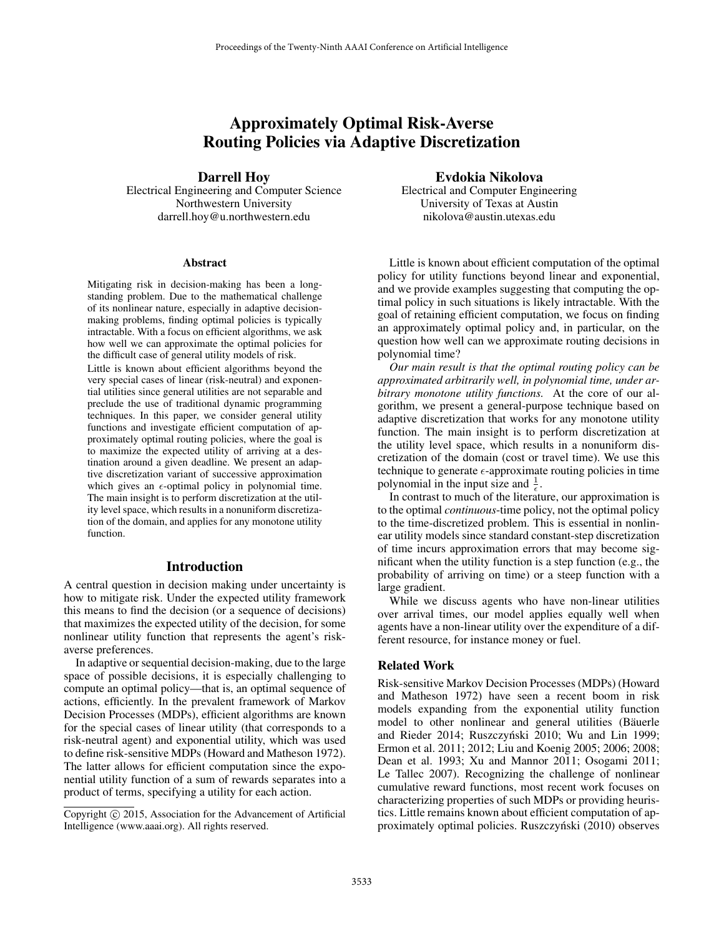# Approximately Optimal Risk-Averse Routing Policies via Adaptive Discretization

#### Darrell Hoy

Electrical Engineering and Computer Science Northwestern University darrell.hoy@u.northwestern.edu

#### Abstract

Mitigating risk in decision-making has been a longstanding problem. Due to the mathematical challenge of its nonlinear nature, especially in adaptive decisionmaking problems, finding optimal policies is typically intractable. With a focus on efficient algorithms, we ask how well we can approximate the optimal policies for the difficult case of general utility models of risk.

Little is known about efficient algorithms beyond the very special cases of linear (risk-neutral) and exponential utilities since general utilities are not separable and preclude the use of traditional dynamic programming techniques. In this paper, we consider general utility functions and investigate efficient computation of approximately optimal routing policies, where the goal is to maximize the expected utility of arriving at a destination around a given deadline. We present an adaptive discretization variant of successive approximation which gives an  $\epsilon$ -optimal policy in polynomial time. The main insight is to perform discretization at the utility level space, which results in a nonuniform discretization of the domain, and applies for any monotone utility function.

#### Introduction

A central question in decision making under uncertainty is how to mitigate risk. Under the expected utility framework this means to find the decision (or a sequence of decisions) that maximizes the expected utility of the decision, for some nonlinear utility function that represents the agent's riskaverse preferences.

In adaptive or sequential decision-making, due to the large space of possible decisions, it is especially challenging to compute an optimal policy—that is, an optimal sequence of actions, efficiently. In the prevalent framework of Markov Decision Processes (MDPs), efficient algorithms are known for the special cases of linear utility (that corresponds to a risk-neutral agent) and exponential utility, which was used to define risk-sensitive MDPs (Howard and Matheson 1972). The latter allows for efficient computation since the exponential utility function of a sum of rewards separates into a product of terms, specifying a utility for each action.

#### Evdokia Nikolova

Electrical and Computer Engineering University of Texas at Austin nikolova@austin.utexas.edu

Little is known about efficient computation of the optimal policy for utility functions beyond linear and exponential, and we provide examples suggesting that computing the optimal policy in such situations is likely intractable. With the goal of retaining efficient computation, we focus on finding an approximately optimal policy and, in particular, on the question how well can we approximate routing decisions in polynomial time?

*Our main result is that the optimal routing policy can be approximated arbitrarily well, in polynomial time, under arbitrary monotone utility functions.* At the core of our algorithm, we present a general-purpose technique based on adaptive discretization that works for any monotone utility function. The main insight is to perform discretization at the utility level space, which results in a nonuniform discretization of the domain (cost or travel time). We use this technique to generate  $\epsilon$ -approximate routing policies in time polynomial in the input size and  $\frac{1}{\epsilon}$ .

In contrast to much of the literature, our approximation is to the optimal *continuous*-time policy, not the optimal policy to the time-discretized problem. This is essential in nonlinear utility models since standard constant-step discretization of time incurs approximation errors that may become significant when the utility function is a step function (e.g., the probability of arriving on time) or a steep function with a large gradient.

While we discuss agents who have non-linear utilities over arrival times, our model applies equally well when agents have a non-linear utility over the expenditure of a different resource, for instance money or fuel.

## Related Work

Risk-sensitive Markov Decision Processes (MDPs) (Howard and Matheson 1972) have seen a recent boom in risk models expanding from the exponential utility function model to other nonlinear and general utilities (Bäuerle and Rieder 2014; Ruszczyński 2010; Wu and Lin 1999; Ermon et al. 2011; 2012; Liu and Koenig 2005; 2006; 2008; Dean et al. 1993; Xu and Mannor 2011; Osogami 2011; Le Tallec 2007). Recognizing the challenge of nonlinear cumulative reward functions, most recent work focuses on characterizing properties of such MDPs or providing heuristics. Little remains known about efficient computation of approximately optimal policies. Ruszczyński (2010) observes

Copyright (c) 2015, Association for the Advancement of Artificial Intelligence (www.aaai.org). All rights reserved.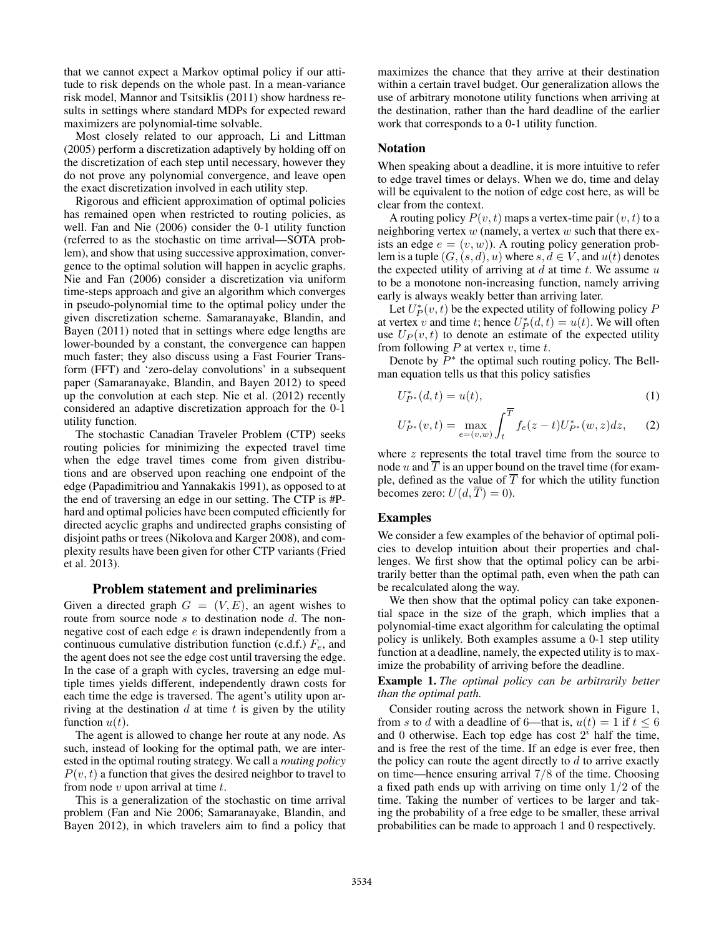that we cannot expect a Markov optimal policy if our attitude to risk depends on the whole past. In a mean-variance risk model, Mannor and Tsitsiklis (2011) show hardness results in settings where standard MDPs for expected reward maximizers are polynomial-time solvable.

Most closely related to our approach, Li and Littman (2005) perform a discretization adaptively by holding off on the discretization of each step until necessary, however they do not prove any polynomial convergence, and leave open the exact discretization involved in each utility step.

Rigorous and efficient approximation of optimal policies has remained open when restricted to routing policies, as well. Fan and Nie (2006) consider the 0-1 utility function (referred to as the stochastic on time arrival—SOTA problem), and show that using successive approximation, convergence to the optimal solution will happen in acyclic graphs. Nie and Fan (2006) consider a discretization via uniform time-steps approach and give an algorithm which converges in pseudo-polynomial time to the optimal policy under the given discretization scheme. Samaranayake, Blandin, and Bayen (2011) noted that in settings where edge lengths are lower-bounded by a constant, the convergence can happen much faster; they also discuss using a Fast Fourier Transform (FFT) and 'zero-delay convolutions' in a subsequent paper (Samaranayake, Blandin, and Bayen 2012) to speed up the convolution at each step. Nie et al. (2012) recently considered an adaptive discretization approach for the 0-1 utility function.

The stochastic Canadian Traveler Problem (CTP) seeks routing policies for minimizing the expected travel time when the edge travel times come from given distributions and are observed upon reaching one endpoint of the edge (Papadimitriou and Yannakakis 1991), as opposed to at the end of traversing an edge in our setting. The CTP is #Phard and optimal policies have been computed efficiently for directed acyclic graphs and undirected graphs consisting of disjoint paths or trees (Nikolova and Karger 2008), and complexity results have been given for other CTP variants (Fried et al. 2013).

#### Problem statement and preliminaries

Given a directed graph  $G = (V, E)$ , an agent wishes to route from source node  $s$  to destination node  $d$ . The nonnegative cost of each edge  $e$  is drawn independently from a continuous cumulative distribution function (c.d.f.)  $F_e$ , and the agent does not see the edge cost until traversing the edge. In the case of a graph with cycles, traversing an edge multiple times yields different, independently drawn costs for each time the edge is traversed. The agent's utility upon arriving at the destination  $d$  at time  $t$  is given by the utility function  $u(t)$ .

The agent is allowed to change her route at any node. As such, instead of looking for the optimal path, we are interested in the optimal routing strategy. We call a *routing policy*  $P(v, t)$  a function that gives the desired neighbor to travel to from node  $v$  upon arrival at time  $t$ .

This is a generalization of the stochastic on time arrival problem (Fan and Nie 2006; Samaranayake, Blandin, and Bayen 2012), in which travelers aim to find a policy that

maximizes the chance that they arrive at their destination within a certain travel budget. Our generalization allows the use of arbitrary monotone utility functions when arriving at the destination, rather than the hard deadline of the earlier work that corresponds to a 0-1 utility function.

## Notation

When speaking about a deadline, it is more intuitive to refer to edge travel times or delays. When we do, time and delay will be equivalent to the notion of edge cost here, as will be clear from the context.

A routing policy  $P(v, t)$  maps a vertex-time pair  $(v, t)$  to a neighboring vertex  $w$  (namely, a vertex  $w$  such that there exists an edge  $e = (v, w)$ . A routing policy generation problem is a tuple  $(G, (s, d), u)$  where  $s, d \in V$ , and  $u(t)$  denotes the expected utility of arriving at  $d$  at time  $t$ . We assume  $u$ to be a monotone non-increasing function, namely arriving early is always weakly better than arriving later.

Let  $U_P^*(v,t)$  be the expected utility of following policy P at vertex v and time t; hence  $U_P^*(d, t) = u(t)$ . We will often use  $U_P(v, t)$  to denote an estimate of the expected utility from following  $P$  at vertex  $v$ , time  $t$ .

Denote by  $\overline{P^*}$  the optimal such routing policy. The Bellman equation tells us that this policy satisfies

$$
U_{P^*}^*(d,t) = u(t),
$$
\n(1)

$$
U_{P^*}^*(v,t) = \max_{e=(v,w)} \int_t^T f_e(z-t) U_{P^*}^*(w,z) dz, \qquad (2)
$$

where  $z$  represents the total travel time from the source to node u and  $\overline{T}$  is an upper bound on the travel time (for example, defined as the value of  $\overline{T}$  for which the utility function becomes zero:  $U(d, \overline{T}) = 0$ ).

#### Examples

We consider a few examples of the behavior of optimal policies to develop intuition about their properties and challenges. We first show that the optimal policy can be arbitrarily better than the optimal path, even when the path can be recalculated along the way.

We then show that the optimal policy can take exponential space in the size of the graph, which implies that a polynomial-time exact algorithm for calculating the optimal policy is unlikely. Both examples assume a 0-1 step utility function at a deadline, namely, the expected utility is to maximize the probability of arriving before the deadline.

Example 1. *The optimal policy can be arbitrarily better than the optimal path.*

Consider routing across the network shown in Figure 1, from s to d with a deadline of 6—that is,  $u(t) = 1$  if  $t \le 6$ and 0 otherwise. Each top edge has cost  $2^i$  half the time, and is free the rest of the time. If an edge is ever free, then the policy can route the agent directly to  $d$  to arrive exactly on time—hence ensuring arrival 7/8 of the time. Choosing a fixed path ends up with arriving on time only 1/2 of the time. Taking the number of vertices to be larger and taking the probability of a free edge to be smaller, these arrival probabilities can be made to approach 1 and 0 respectively.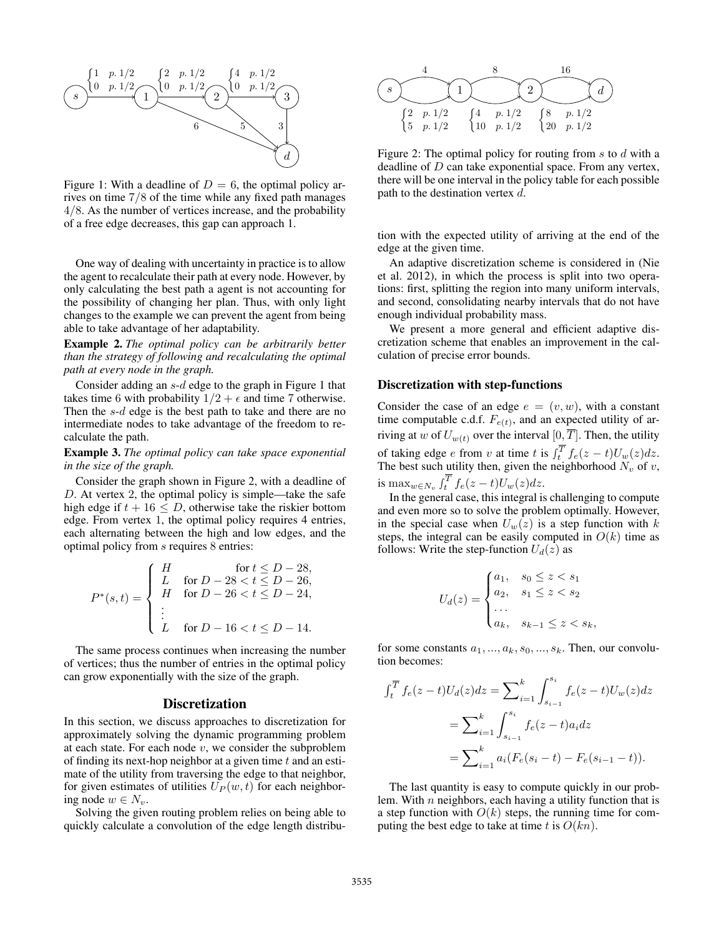

Figure 1: With a deadline of  $D = 6$ , the optimal policy arrives on time 7/8 of the time while any fixed path manages 4/8. As the number of vertices increase, and the probability of a free edge decreases, this gap can approach 1.

One way of dealing with uncertainty in practice is to allow the agent to recalculate their path at every node. However, by only calculating the best path a agent is not accounting for the possibility of changing her plan. Thus, with only light changes to the example we can prevent the agent from being able to take advantage of her adaptability.

Example 2. *The optimal policy can be arbitrarily better than the strategy of following and recalculating the optimal path at every node in the graph.*

Consider adding an s-d edge to the graph in Figure 1 that takes time 6 with probability  $1/2 + \epsilon$  and time 7 otherwise. Then the s-d edge is the best path to take and there are no intermediate nodes to take advantage of the freedom to recalculate the path.

## Example 3. *The optimal policy can take space exponential in the size of the graph.*

Consider the graph shown in Figure 2, with a deadline of D. At vertex 2, the optimal policy is simple—take the safe high edge if  $t + 16 \le D$ , otherwise take the riskier bottom edge. From vertex 1, the optimal policy requires 4 entries, each alternating between the high and low edges, and the optimal policy from s requires 8 entries:

$$
P^*(s,t) = \begin{cases} H & \text{for } t \le D-28, \\ L & \text{for } D-28 < t \le D-26, \\ H & \text{for } D-26 < t \le D-24, \\ \vdots & \\ L & \text{for } D-16 < t \le D-14. \end{cases}
$$

The same process continues when increasing the number of vertices; thus the number of entries in the optimal policy can grow exponentially with the size of the graph.

## **Discretization**

In this section, we discuss approaches to discretization for approximately solving the dynamic programming problem at each state. For each node  $v$ , we consider the subproblem of finding its next-hop neighbor at a given time  $t$  and an estimate of the utility from traversing the edge to that neighbor, for given estimates of utilities  $U_P(w, t)$  for each neighboring node  $w \in N_v$ .

Solving the given routing problem relies on being able to quickly calculate a convolution of the edge length distribu-



Figure 2: The optimal policy for routing from  $s$  to  $d$  with a deadline of D can take exponential space. From any vertex, there will be one interval in the policy table for each possible path to the destination vertex d.

tion with the expected utility of arriving at the end of the edge at the given time.

An adaptive discretization scheme is considered in (Nie et al. 2012), in which the process is split into two operations: first, splitting the region into many uniform intervals, and second, consolidating nearby intervals that do not have enough individual probability mass.

We present a more general and efficient adaptive discretization scheme that enables an improvement in the calculation of precise error bounds.

#### Discretization with step-functions

Consider the case of an edge  $e = (v, w)$ , with a constant time computable c.d.f.  $F_{e(t)}$ , and an expected utility of arriving at w of  $U_{w(t)}$  over the interval  $[0, \overline{T}]$ . Then, the utility of taking edge *e* from *v* at time *t* is  $\int_t^T f_e(z-t)U_w(z)dz$ . The best such utility then, given the neighborhood  $N_v$  of v, is  $\max_{w \in N_v} \int_t^T f_e(z-t) U_w(z) dz$ .

In the general case, this integral is challenging to compute and even more so to solve the problem optimally. However, in the special case when  $U_w(z)$  is a step function with k steps, the integral can be easily computed in  $O(k)$  time as follows: Write the step-function  $U_d(z)$  as

$$
U_d(z) = \begin{cases} a_1, & s_0 \le z < s_1 \\ a_2, & s_1 \le z < s_2 \\ \dots \\ a_k, & s_{k-1} \le z < s_k, \end{cases}
$$

for some constants  $a_1, ..., a_k, s_0, ..., s_k$ . Then, our convolution becomes:

$$
\int_{t}^{\overline{T}} f_e(z-t)U_d(z)dz = \sum_{i=1}^{k} \int_{s_{i-1}}^{s_i} f_e(z-t)U_w(z)dz
$$

$$
= \sum_{i=1}^{k} \int_{s_{i-1}}^{s_i} f_e(z-t)a_i dz
$$

$$
= \sum_{i=1}^{k} a_i (F_e(s_i-t) - F_e(s_{i-1}-t)).
$$

The last quantity is easy to compute quickly in our problem. With  $n$  neighbors, each having a utility function that is a step function with  $O(k)$  steps, the running time for computing the best edge to take at time t is  $O(kn)$ .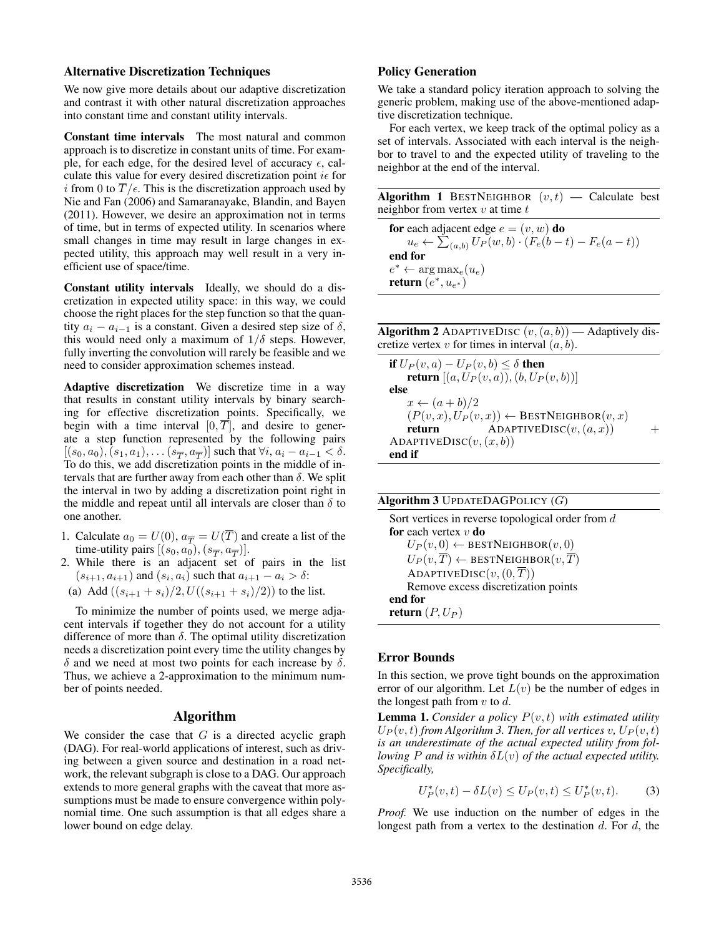## Alternative Discretization Techniques

We now give more details about our adaptive discretization and contrast it with other natural discretization approaches into constant time and constant utility intervals.

Constant time intervals The most natural and common approach is to discretize in constant units of time. For example, for each edge, for the desired level of accuracy  $\epsilon$ , calculate this value for every desired discretization point  $i\epsilon$  for i from 0 to  $\overline{T}/\epsilon$ . This is the discretization approach used by Nie and Fan (2006) and Samaranayake, Blandin, and Bayen (2011). However, we desire an approximation not in terms of time, but in terms of expected utility. In scenarios where small changes in time may result in large changes in expected utility, this approach may well result in a very inefficient use of space/time.

Constant utility intervals Ideally, we should do a discretization in expected utility space: in this way, we could choose the right places for the step function so that the quantity  $a_i - a_{i-1}$  is a constant. Given a desired step size of  $\delta$ , this would need only a maximum of  $1/\delta$  steps. However, fully inverting the convolution will rarely be feasible and we need to consider approximation schemes instead.

Adaptive discretization We discretize time in a way that results in constant utility intervals by binary searching for effective discretization points. Specifically, we begin with a time interval  $[0, T]$ , and desire to generate a step function represented by the following pairs  $[(s_0, a_0), (s_1, a_1), \dots (s_{\overline{T}}, a_{\overline{T}})]$  such that  $\forall i, a_i - a_{i-1} < \delta$ . To do this, we add discretization points in the middle of intervals that are further away from each other than  $\delta$ . We split the interval in two by adding a discretization point right in the middle and repeat until all intervals are closer than  $\delta$  to one another.

- 1. Calculate  $a_0 = U(0)$ ,  $a_{\overline{T}} = U(\overline{T})$  and create a list of the time-utility pairs  $[(s_0, a_0), (s_{\overline{T}}, a_{\overline{T}})].$
- 2. While there is an adjacent set of pairs in the list  $(s_{i+1}, a_{i+1})$  and  $(s_i, a_i)$  such that  $a_{i+1} - a_i > \delta$ :
- (a) Add  $((s_{i+1} + s_i)/2, U((s_{i+1} + s_i)/2))$  to the list.

To minimize the number of points used, we merge adjacent intervals if together they do not account for a utility difference of more than  $\delta$ . The optimal utility discretization needs a discretization point every time the utility changes by  $\delta$  and we need at most two points for each increase by  $\delta$ . Thus, we achieve a 2-approximation to the minimum number of points needed.

#### Algorithm

We consider the case that  $G$  is a directed acyclic graph (DAG). For real-world applications of interest, such as driving between a given source and destination in a road network, the relevant subgraph is close to a DAG. Our approach extends to more general graphs with the caveat that more assumptions must be made to ensure convergence within polynomial time. One such assumption is that all edges share a lower bound on edge delay.

# Policy Generation

We take a standard policy iteration approach to solving the generic problem, making use of the above-mentioned adaptive discretization technique.

For each vertex, we keep track of the optimal policy as a set of intervals. Associated with each interval is the neighbor to travel to and the expected utility of traveling to the neighbor at the end of the interval.

Algorithm 1 BESTNEIGHBOR  $(v, t)$  — Calculate best neighbor from vertex  $v$  at time  $t$ 

for each adjacent edge  $e = (v, w)$  do  $u_e \leftarrow \sum_{(a,b)} U_P(w,b) \cdot (F_e(b-t) - F_e(a-t))$ end for  $e^* \leftarrow \arg \max_{e} (u_e)$ return  $(e^*, u_{e^*})$ 

Algorithm 2 ADAPTIVEDISC  $(v, (a, b))$  — Adaptively discretize vertex  $v$  for times in interval  $(a, b)$ .

if  $U_P(v, a) - U_P(v, b) \leq \delta$  then **return**  $[(a, U_P(v, a)), (b, U_P(v, b))]$ else  $x \leftarrow (a+b)/2$  $(P(v, x), U_P(v, x)) \leftarrow$  BESTNEIGHBOR $(v, x)$ <br>return ADAPTIVEDISC $(v, (a, x))$  $ADAPTIVEDISC(v, (a, x))$  + ADAPTIVEDISC $(v, (x, b))$ end if

| <b>Algorithm 3</b> UPDATEDAGPOLICY $(G)$                           |  |
|--------------------------------------------------------------------|--|
| Sort vertices in reverse topological order from $d$                |  |
| <b>for</b> each vertex $v$ <b>do</b>                               |  |
| $U_P(v,0) \leftarrow$ BESTNEIGHBOR $(v,0)$                         |  |
| $U_P(v, \overline{T}) \leftarrow$ BESTNEIGHBOR $(v, \overline{T})$ |  |
| ADAPTIVEDISC $(v, (0, \overline{T}))$                              |  |
| Remove excess discretization points                                |  |
| end for                                                            |  |
| <b>return</b> $(P, U_P)$                                           |  |

## Error Bounds

In this section, we prove tight bounds on the approximation error of our algorithm. Let  $L(v)$  be the number of edges in the longest path from  $v$  to  $d$ .

Lemma 1. *Consider a policy* P(v, t) *with estimated utility*  $U_P(v, t)$  *from Algorithm 3. Then, for all vertices* v,  $U_P(v, t)$ *is an underestimate of the actual expected utility from following*  $P$  *and is within*  $\delta L(v)$  *of the actual expected utility. Specifically,*

$$
U_P^*(v, t) - \delta L(v) \le U_P(v, t) \le U_P^*(v, t). \tag{3}
$$

*Proof.* We use induction on the number of edges in the longest path from a vertex to the destination  $d$ . For  $d$ , the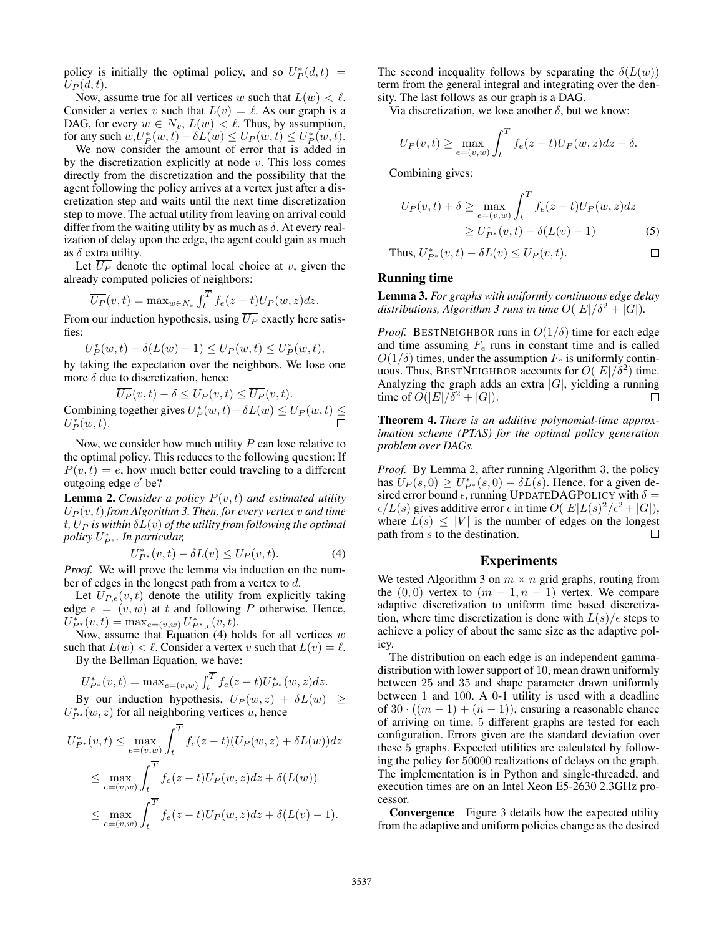policy is initially the optimal policy, and so  $U_P^*(d,t) =$  $U_P(d,t)$ .

Now, assume true for all vertices w such that  $L(w) < l$ . Consider a vertex v such that  $L(v) = \ell$ . As our graph is a DAG, for every  $w \in N_v$ ,  $L(w) < \ell$ . Thus, by assumption, for any such  $w, U_P^*(w, t) - \delta L(w) \le U_P(w, t) \le U_P^*(w, t)$ .

We now consider the amount of error that is added in by the discretization explicitly at node  $v$ . This loss comes directly from the discretization and the possibility that the agent following the policy arrives at a vertex just after a discretization step and waits until the next time discretization step to move. The actual utility from leaving on arrival could differ from the waiting utility by as much as  $\delta$ . At every realization of delay upon the edge, the agent could gain as much as  $\delta$  extra utility.

Let  $\overline{U_P}$  denote the optimal local choice at v, given the already computed policies of neighbors:

$$
\overline{U_P}(v,t) = \max_{w \in N_v} \int_t^{\overline{T}} f_e(z-t) U_P(w,z) dz.
$$

From our induction hypothesis, using  $\overline{U_P}$  exactly here satisfies:

$$
U_P^*(w,t) - \delta(L(w) - 1) \le \overline{U_P}(w,t) \le U_P^*(w,t),
$$

by taking the expectation over the neighbors. We lose one more  $\delta$  due to discretization, hence

$$
\overline{U_P}(v,t) - \delta \le U_P(v,t) \le \overline{U_P}(v,t).
$$
  
Combining together gives  $U_P^*(w,t) - \delta L(w) \le U_P(w,t) \le U_P^*(w,t)$ .

Now, we consider how much utility  $P$  can lose relative to the optimal policy. This reduces to the following question: If  $P(v, t) = e$ , how much better could traveling to a different outgoing edge  $e'$  be?

**Lemma 2.** *Consider a policy*  $P(v, t)$  *and estimated utility*  $U_P(v, t)$  *from Algorithm 3. Then, for every vertex*  $v$  *and time*  $t$ ,  $U_P$  *is within*  $\delta L(v)$  *of the utility from following the optimal policy* U ∗ <sup>P</sup> <sup>∗</sup> *. In particular,*

$$
U_{P^*}^*(v,t) - \delta L(v) \le U_P(v,t). \tag{4}
$$

*Proof.* We will prove the lemma via induction on the number of edges in the longest path from a vertex to d.

Let  $U_{P,e}(v, t)$  denote the utility from explicitly taking edge  $e = (v, w)$  at t and following P otherwise. Hence,  $U^*_{P^*}(v,t) = \max_{e=(v,w)} U^*_{P^*,e}(v,t).$ 

Now, assume that Equation  $(4)$  holds for all vertices w such that  $L(w) < l$ . Consider a vertex v such that  $L(v) = l$ . By the Bellman Equation, we have:

$$
U^*_{P^*}(v,t) = \text{max}_{e=(v,w)} \textstyle\int_t^{\overline{T}} f_e(z-t) U^*_{P^*}(w,z) dz.
$$

By our induction hypothesis,  $U_P(w, z) + \delta L(w) \geq$  $U_{P^*}^*(w, z)$  for all neighboring vertices u, hence

$$
U_{P^*}^*(v,t) \le \max_{e=(v,w)} \int_t^T f_e(z-t)(U_P(w,z) + \delta L(w))dz
$$
  

$$
\le \max_{e=(v,w)} \int_t^T f_e(z-t)U_P(w,z)dz + \delta (L(w))
$$
  

$$
\le \max_{e=(v,w)} \int_t^T f_e(z-t)U_P(w,z)dz + \delta (L(v) - 1).
$$

The second inequality follows by separating the  $\delta(L(w))$ term from the general integral and integrating over the density. The last follows as our graph is a DAG.

Via discretization, we lose another  $\delta$ , but we know:

$$
U_P(v,t) \ge \max_{e=(v,w)} \int_t^{\overline{T}} f_e(z-t) U_P(w,z) dz - \delta.
$$

Combining gives:

$$
U_P(v,t) + \delta \ge \max_{e = (v,w)} \int_t^T f_e(z-t) U_P(w,z) dz
$$
  
 
$$
\ge U_{P^*}^*(v,t) - \delta(L(v) - 1)
$$
 (5)

Thus, 
$$
U_{P^*}^*(v, t) - \delta L(v) \le U_P(v, t)
$$
.

# Running time

Lemma 3. *For graphs with uniformly continuous edge delay distributions, Algorithm 3 runs in time*  $O(|E|/\delta^2 + |G|)$ *.* 

*Proof.* BESTNEIGHBOR runs in  $O(1/\delta)$  time for each edge and time assuming  $F_e$  runs in constant time and is called  $O(1/\delta)$  times, under the assumption  $F_e$  is uniformly continuous. Thus, BESTNEIGHBOR accounts for  $O(|E|/\delta^2)$  time. Analyzing the graph adds an extra  $|G|$ , yielding a running time of  $O(|E|/\delta^2 + |G|)$ .  $\Box$ 

Theorem 4. *There is an additive polynomial-time approximation scheme (PTAS) for the optimal policy generation problem over DAGs.*

*Proof.* By Lemma 2, after running Algorithm 3, the policy has  $U_P(s, 0) \ge U_{P^*}^*(s, 0) - \delta L(s)$ . Hence, for a given desired error bound  $\epsilon$ , running UPDATEDAGPOLICY with  $\delta =$  $\epsilon/L(s)$  gives additive error  $\epsilon$  in time  $O(|E|L(s)^2/\epsilon^2+|G|)$ , where  $L(s) \leq |V|$  is the number of edges on the longest path from s to the destination.  $\Box$ 

## Experiments

We tested Algorithm 3 on  $m \times n$  grid graphs, routing from the  $(0, 0)$  vertex to  $(m - 1, n - 1)$  vertex. We compare adaptive discretization to uniform time based discretization, where time discretization is done with  $L(s)/\epsilon$  steps to achieve a policy of about the same size as the adaptive policy.

The distribution on each edge is an independent gammadistribution with lower support of 10, mean drawn uniformly between 25 and 35 and shape parameter drawn uniformly between 1 and 100. A 0-1 utility is used with a deadline of 30  $\cdot$   $((m-1) + (n-1))$ , ensuring a reasonable chance of arriving on time. 5 different graphs are tested for each configuration. Errors given are the standard deviation over these 5 graphs. Expected utilities are calculated by following the policy for 50000 realizations of delays on the graph. The implementation is in Python and single-threaded, and execution times are on an Intel Xeon E5-2630 2.3GHz processor.

Convergence Figure 3 details how the expected utility from the adaptive and uniform policies change as the desired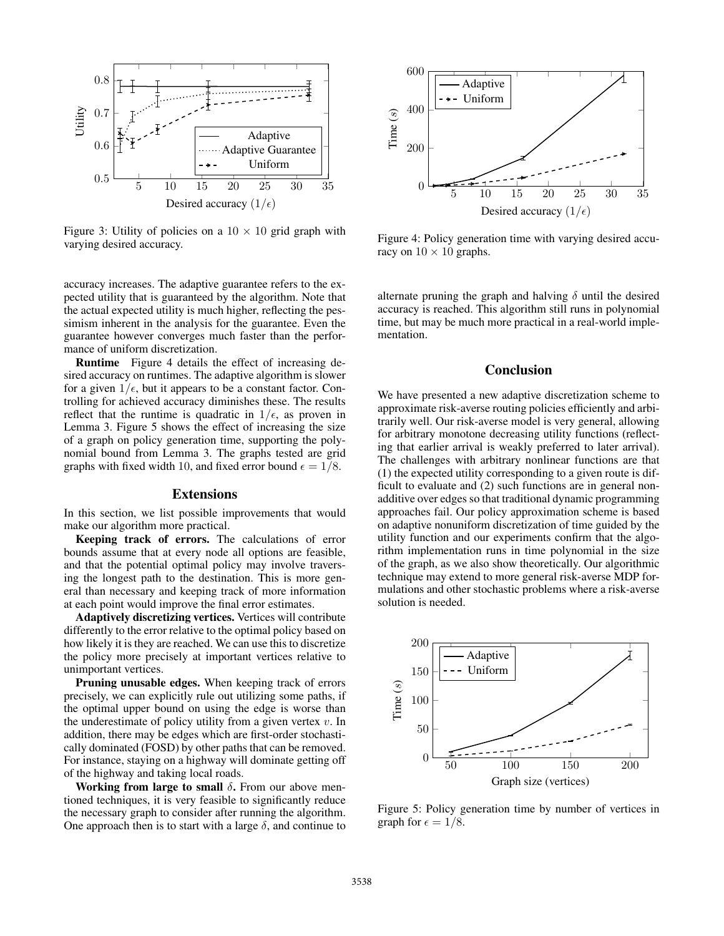

Figure 3: Utility of policies on a  $10 \times 10$  grid graph with varying desired accuracy.

accuracy increases. The adaptive guarantee refers to the expected utility that is guaranteed by the algorithm. Note that the actual expected utility is much higher, reflecting the pessimism inherent in the analysis for the guarantee. Even the guarantee however converges much faster than the performance of uniform discretization.

Runtime Figure 4 details the effect of increasing desired accuracy on runtimes. The adaptive algorithm is slower for a given  $1/\epsilon$ , but it appears to be a constant factor. Controlling for achieved accuracy diminishes these. The results reflect that the runtime is quadratic in  $1/\epsilon$ , as proven in Lemma 3. Figure 5 shows the effect of increasing the size of a graph on policy generation time, supporting the polynomial bound from Lemma 3. The graphs tested are grid graphs with fixed width 10, and fixed error bound  $\epsilon = 1/8$ .

#### Extensions

In this section, we list possible improvements that would make our algorithm more practical.

Keeping track of errors. The calculations of error bounds assume that at every node all options are feasible, and that the potential optimal policy may involve traversing the longest path to the destination. This is more general than necessary and keeping track of more information at each point would improve the final error estimates.

Adaptively discretizing vertices. Vertices will contribute differently to the error relative to the optimal policy based on how likely it is they are reached. We can use this to discretize the policy more precisely at important vertices relative to unimportant vertices.

Pruning unusable edges. When keeping track of errors precisely, we can explicitly rule out utilizing some paths, if the optimal upper bound on using the edge is worse than the underestimate of policy utility from a given vertex  $v$ . In addition, there may be edges which are first-order stochastically dominated (FOSD) by other paths that can be removed. For instance, staying on a highway will dominate getting off of the highway and taking local roads.

Working from large to small  $\delta$ . From our above mentioned techniques, it is very feasible to significantly reduce the necessary graph to consider after running the algorithm. One approach then is to start with a large  $\delta$ , and continue to



Figure 4: Policy generation time with varying desired accuracy on  $10 \times 10$  graphs.

alternate pruning the graph and halving  $\delta$  until the desired accuracy is reached. This algorithm still runs in polynomial time, but may be much more practical in a real-world implementation.

# **Conclusion**

We have presented a new adaptive discretization scheme to approximate risk-averse routing policies efficiently and arbitrarily well. Our risk-averse model is very general, allowing for arbitrary monotone decreasing utility functions (reflecting that earlier arrival is weakly preferred to later arrival). The challenges with arbitrary nonlinear functions are that (1) the expected utility corresponding to a given route is difficult to evaluate and (2) such functions are in general nonadditive over edges so that traditional dynamic programming approaches fail. Our policy approximation scheme is based on adaptive nonuniform discretization of time guided by the utility function and our experiments confirm that the algorithm implementation runs in time polynomial in the size of the graph, as we also show theoretically. Our algorithmic technique may extend to more general risk-averse MDP formulations and other stochastic problems where a risk-averse solution is needed.



Figure 5: Policy generation time by number of vertices in graph for  $\epsilon = 1/8$ .